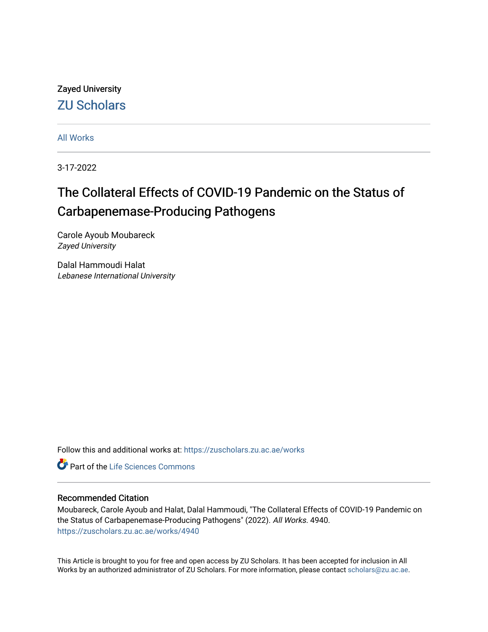Zayed University [ZU Scholars](https://zuscholars.zu.ac.ae/) 

[All Works](https://zuscholars.zu.ac.ae/works)

3-17-2022

# The Collateral Effects of COVID-19 Pandemic on the Status of Carbapenemase-Producing Pathogens

Carole Ayoub Moubareck Zayed University

Dalal Hammoudi Halat Lebanese International University

Follow this and additional works at: [https://zuscholars.zu.ac.ae/works](https://zuscholars.zu.ac.ae/works?utm_source=zuscholars.zu.ac.ae%2Fworks%2F4940&utm_medium=PDF&utm_campaign=PDFCoverPages)

**C** Part of the Life Sciences Commons

#### Recommended Citation

Moubareck, Carole Ayoub and Halat, Dalal Hammoudi, "The Collateral Effects of COVID-19 Pandemic on the Status of Carbapenemase-Producing Pathogens" (2022). All Works. 4940. [https://zuscholars.zu.ac.ae/works/4940](https://zuscholars.zu.ac.ae/works/4940?utm_source=zuscholars.zu.ac.ae%2Fworks%2F4940&utm_medium=PDF&utm_campaign=PDFCoverPages)

This Article is brought to you for free and open access by ZU Scholars. It has been accepted for inclusion in All Works by an authorized administrator of ZU Scholars. For more information, please contact [scholars@zu.ac.ae](mailto:scholars@zu.ac.ae).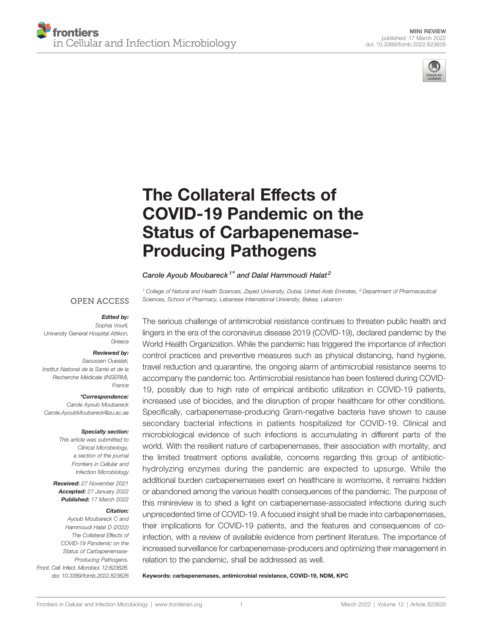



# [The Collateral Effects of](https://www.frontiersin.org/articles/10.3389/fcimb.2022.823626/full) [COVID-19 Pandemic on the](https://www.frontiersin.org/articles/10.3389/fcimb.2022.823626/full) [Status of Carbapenemase-](https://www.frontiersin.org/articles/10.3389/fcimb.2022.823626/full)[Producing Pathogens](https://www.frontiersin.org/articles/10.3389/fcimb.2022.823626/full)

Carole Ayoub Moubareck<sup>1\*</sup> and Dalal Hammoudi Halat<sup>2</sup>

<sup>1</sup> College of Natural and Health Sciences, Zayed University, Dubai, United Arab Emirates, <sup>2</sup> Department of Pharmaceutical Sciences, School of Pharmacy, Lebanese International University, Bekaa, Lebanon

#### **OPEN ACCESS**

#### Edited by:

Sophia Vourli, University General Hospital Attikon, Greece

#### Reviewed by:

Saoussen Oueslati, Institut National de la Santé et de la Recherche Médicale (INSERM). France

\*Correspondence:

Carole Ayoub Moubareck [Carole.AyoubMoubareck@zu.ac.ae](mailto:Carole.AyoubMoubareck@zu.ac.ae)

#### Specialty section:

This article was submitted to Clinical Microbiology, a section of the journal Frontiers in Cellular and Infection Microbiology

Received: 27 November 2021 Accepted: 27 January 2022 Published: 17 March 2022

#### Citation:

Ayoub Moubareck C and Hammoudi Halat D (2022) The Collateral Effects of COVID-19 Pandemic on the Status of Carbapenemase-Producing Pathogens. Front. Cell. Infect. Microbiol. 12:823626. [doi: 10.3389/fcimb.2022.823626](https://doi.org/10.3389/fcimb.2022.823626) The serious challenge of antimicrobial resistance continues to threaten public health and lingers in the era of the coronavirus disease 2019 (COVID-19), declared pandemic by the World Health Organization. While the pandemic has triggered the importance of infection control practices and preventive measures such as physical distancing, hand hygiene, travel reduction and quarantine, the ongoing alarm of antimicrobial resistance seems to accompany the pandemic too. Antimicrobial resistance has been fostered during COVID-19, possibly due to high rate of empirical antibiotic utilization in COVID-19 patients, increased use of biocides, and the disruption of proper healthcare for other conditions. Specifically, carbapenemase-producing Gram-negative bacteria have shown to cause secondary bacterial infections in patients hospitalized for COVID-19. Clinical and microbiological evidence of such infections is accumulating in different parts of the world. With the resilient nature of carbapenemases, their association with mortality, and the limited treatment options available, concerns regarding this group of antibiotichydrolyzing enzymes during the pandemic are expected to upsurge. While the additional burden carbapenemases exert on healthcare is worrisome, it remains hidden or abandoned among the various health consequences of the pandemic. The purpose of this minireview is to shed a light on carbapenemase-associated infections during such unprecedented time of COVID-19. A focused insight shall be made into carbapenemases, their implications for COVID-19 patients, and the features and consequences of coinfection, with a review of available evidence from pertinent literature. The importance of increased surveillance for carbapenemase-producers and optimizing their management in relation to the pandemic, shall be addressed as well.

Keywords: carbapenemases, antimicrobial resistance, COVID-19, NDM, KPC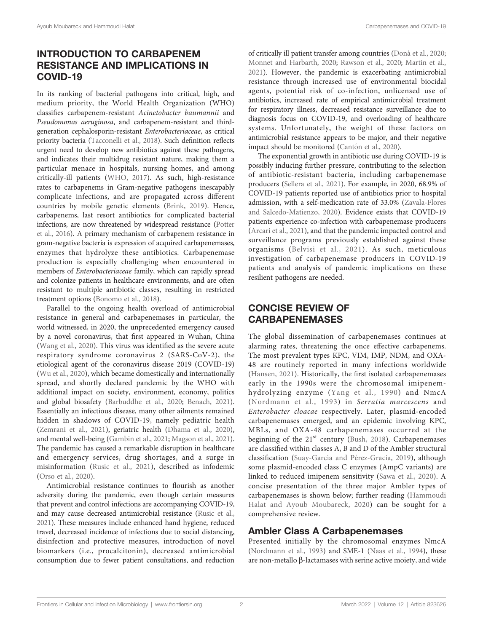# INTRODUCTION TO CARBAPENEM RESISTANCE AND IMPLICATIONS IN COVID-19

In its ranking of bacterial pathogens into critical, high, and medium priority, the World Health Organization (WHO) classifies carbapenem-resistant Acinetobacter baumannii and Pseudomonas aeruginosa, and carbapenem-resistant and thirdgeneration cephalosporin-resistant Enterobacteriaceae, as critical priority bacteria [\(Tacconelli et al., 2018](#page-10-0)). Such definition reflects urgent need to develop new antibiotics against these pathogens, and indicates their multidrug resistant nature, making them a particular menace in hospitals, nursing homes, and among critically-ill patients [\(WHO, 2017](#page-10-0)). As such, high-resistance rates to carbapenems in Gram-negative pathogens inescapably complicate infections, and are propagated across different countries by mobile genetic elements [\(Brink, 2019](#page-8-0)). Hence, carbapenems, last resort antibiotics for complicated bacterial infections, are now threatened by widespread resistance [\(Potter](#page-10-0) [et al., 2016\)](#page-10-0). A primary mechanism of carbapenem resistance in gram-negative bacteria is expression of acquired carbapenemases, enzymes that hydrolyze these antibiotics. Carbapenemase production is especially challenging when encountered in members of Enterobacteriaceae family, which can rapidly spread and colonize patients in healthcare environments, and are often resistant to multiple antibiotic classes, resulting in restricted treatment options [\(Bonomo et al., 2018](#page-8-0)).

Parallel to the ongoing health overload of antimicrobial resistance in general and carbapenemases in particular, the world witnessed, in 2020, the unprecedented emergency caused by a novel coronavirus, that first appeared in Wuhan, China ([Wang et al., 2020](#page-10-0)). This virus was identified as the severe acute respiratory syndrome coronavirus 2 (SARS-CoV-2), the etiological agent of the coronavirus disease 2019 (COVID-19) ([Wu et al., 2020\)](#page-11-0), which became domestically and internationally spread, and shortly declared pandemic by the WHO with additional impact on society, environment, economy, politics and global biosafety [\(Barbuddhe et al., 2020](#page-8-0); [Benach, 2021\)](#page-8-0). Essentially an infectious disease, many other ailments remained hidden in shadows of COVID-19, namely pediatric health ([Zemrani et al., 2021](#page-11-0)), geriatric health ([Dhama et al., 2020\)](#page-8-0), and mental well-being [\(Gambin et al., 2021](#page-9-0); [Magson et al., 2021\)](#page-9-0). The pandemic has caused a remarkable disruption in healthcare and emergency services, drug shortages, and a surge in misinformation ([Rusic et al., 2021\)](#page-10-0), described as infodemic ([Orso et al., 2020\)](#page-10-0).

Antimicrobial resistance continues to flourish as another adversity during the pandemic, even though certain measures that prevent and control infections are accompanying COVID-19, and may cause decreased antimicrobial resistance ([Rusic et al.,](#page-10-0) [2021](#page-10-0)). These measures include enhanced hand hygiene, reduced travel, decreased incidence of infections due to social distancing, disinfection and protective measures, introduction of novel biomarkers (i.e., procalcitonin), decreased antimicrobial consumption due to fewer patient consultations, and reduction

of critically ill patient transfer among countries [\(Donà et al., 2020;](#page-9-0) [Monnet and Harbarth, 2020](#page-9-0); [Rawson et al., 2020](#page-10-0); [Martin et al.,](#page-9-0) [2021](#page-9-0)). However, the pandemic is exacerbating antimicrobial resistance through increased use of environmental biocidal agents, potential risk of co-infection, unlicensed use of antibiotics, increased rate of empirical antimicrobial treatment for respiratory illness, decreased resistance surveillance due to diagnosis focus on COVID-19, and overloading of healthcare systems. Unfortunately, the weight of these factors on antimicrobial resistance appears to be major, and their negative impact should be monitored (Cantó[n et al., 2020\)](#page-8-0).

The exponential growth in antibiotic use during COVID-19 is possibly inducing further pressure, contributing to the selection of antibiotic-resistant bacteria, including carbapenemase producers [\(Sellera et al., 2021](#page-10-0)). For example, in 2020, 68.9% of COVID-19 patients reported use of antibiotics prior to hospital admission, with a self-medication rate of 33.0% ([Zavala-Flores](#page-11-0) [and Salcedo-Matienzo, 2020](#page-11-0)). Evidence exists that COVID-19 patients experience co-infection with carbapenemase producers [\(Arcari et al., 2021](#page-8-0)), and that the pandemic impacted control and surveillance programs previously established against these organisms ([Belvisi et al., 2021\)](#page-8-0). As such, meticulous investigation of carbapenemase producers in COVID-19 patients and analysis of pandemic implications on these resilient pathogens are needed.

# CONCISE REVIEW OF CARBAPENEMASES

The global dissemination of carbapenemases continues at alarming rates, threatening the once effective carbapenems. The most prevalent types KPC, VIM, IMP, NDM, and OXA-48 are routinely reported in many infections worldwide [\(Hansen, 2021\)](#page-9-0). Historically, the first isolated carbapenemases early in the 1990s were the chromosomal imipenemhydrolyzing enzyme ([Yang et al., 1990\)](#page-11-0) and NmcA ([Nordmann et al., 1993](#page-10-0)) in Serratia marcescens and Enterobacter cloacae respectively. Later, plasmid-encoded carbapenemases emerged, and an epidemic involving KPC, MBLs, and OXA-48 carbapenemases occurred at the beginning of the  $21<sup>st</sup>$  century [\(Bush, 2018\)](#page-8-0). Carbapenemases are classified within classes A, B and D of the Ambler structural classification (Suay-García and Pé[rez-Gracia, 2019](#page-10-0)), although some plasmid-encoded class C enzymes (AmpC variants) are linked to reduced imipenem sensitivity ([Sawa et al., 2020](#page-10-0)). A concise presentation of the three major Ambler types of carbapenemases is shown below; further reading [\(Hammoudi](#page-9-0) [Halat and Ayoub Moubareck, 2020\)](#page-9-0) can be sought for a comprehensive review.

# Ambler Class A Carbapenemases

Presented initially by the chromosomal enzymes NmcA [\(Nordmann et al., 1993](#page-10-0)) and SME-1 [\(Naas et al., 1994\)](#page-9-0), these are non-metallo  $\beta$ -lactamases with serine active moiety, and wide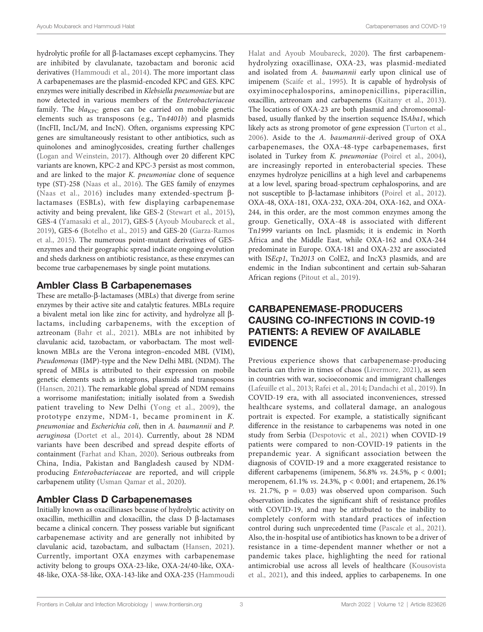hydrolytic profile for all  $\beta$ -lactamases except cephamycins. They are inhibited by clavulanate, tazobactam and boronic acid derivatives [\(Hammoudi et al., 2014](#page-9-0)). The more important class A carbapenemases are the plasmid-encoded KPC and GES. KPC enzymes were initially described in Klebsiella pneumoniae but are now detected in various members of the Enterobacteriaceae family. The  $bla_{KPC}$  genes can be carried on mobile genetic elements such as transposons (e.g., Tn4401b) and plasmids (IncFII, IncL/M, and IncN). Often, organisms expressing KPC genes are simultaneously resistant to other antibiotics, such as quinolones and aminoglycosides, creating further challenges ([Logan and Weinstein, 2017\)](#page-9-0). Although over 20 different KPC variants are known, KPC-2 and KPC-3 persist as most common, and are linked to the major K. pneumoniae clone of sequence type (ST)-258 ([Naas et al., 2016\)](#page-9-0). The GES family of enzymes ([Naas et al., 2016\)](#page-9-0) includes many extended-spectrum blactamases (ESBLs), with few displaying carbapenemase activity and being prevalent, like GES-2 ([Stewart et al., 2015\)](#page-10-0), GES-4 ([Yamasaki et al., 2017](#page-11-0)), GES-5 ([Ayoub Moubareck et al.,](#page-8-0) [2019\)](#page-8-0), GES-6 [\(Botelho et al., 2015\)](#page-8-0) and GES-20 [\(Garza-Ramos](#page-9-0) [et al., 2015\)](#page-9-0). The numerous point-mutant derivatives of GESenzymes and their geographic spread indicate ongoing evolution and sheds darkness on antibiotic resistance, as these enzymes can become true carbapenemases by single point mutations.

### Ambler Class B Carbapenemases

These are metallo- $\beta$ -lactamases (MBLs) that diverge from serine enzymes by their active site and catalytic features. MBLs require a bivalent metal ion like zinc for activity, and hydrolyze all  $\beta$ lactams, including carbapenems, with the exception of aztreonam [\(Bahr et al., 2021\)](#page-8-0). MBLs are not inhibited by clavulanic acid, tazobactam, or vaborbactam. The most wellknown MBLs are the Verona integron–encoded MBL (VIM), Pseudomonas (IMP)-type and the New Delhi MBL (NDM). The spread of MBLs is attributed to their expression on mobile genetic elements such as integrons, plasmids and transposons ([Hansen, 2021\)](#page-9-0). The remarkable global spread of NDM remains a worrisome manifestation; initially isolated from a Swedish patient traveling to New Delhi ([Yong et al., 2009](#page-11-0)), the prototype enzyme, NDM-1, became prominent in K. pneumoniae and Escherichia coli, then in A. baumannii and P. aeruginosa ([Dortet et al., 2014](#page-9-0)). Currently, about 28 NDM variants have been described and spread despite efforts of containment [\(Farhat and Khan, 2020](#page-9-0)). Serious outbreaks from China, India, Pakistan and Bangladesh caused by NDMproducing Enterobacteriaceae are reported, and will cripple carbapenem utility ([Usman Qamar et al., 2020\)](#page-10-0).

# Ambler Class D Carbapenemases

Initially known as oxacillinases because of hydrolytic activity on oxacillin, methicillin and cloxacillin, the class  $D$   $\beta$ -lactamases became a clinical concern. They possess variable but significant carbapenemase activity and are generally not inhibited by clavulanic acid, tazobactam, and sulbactam ([Hansen, 2021\)](#page-9-0). Currently, important OXA enzymes with carbapenemase activity belong to groups OXA-23-like, OXA-24/40-like, OXA-48-like, OXA-58-like, OXA-143-like and OXA-235 [\(Hammoudi](#page-9-0)

[Halat and Ayoub Moubareck, 2020](#page-9-0)). The first carbapenemhydrolyzing oxacillinase, OXA-23, was plasmid-mediated and isolated from A. baumannii early upon clinical use of imipenem [\(Scaife et al., 1995](#page-10-0)). It is capable of hydrolysis of oxyiminocephalosporins, aminopenicillins, piperacillin, oxacillin, aztreonam and carbapenems ([Kaitany et al., 2013\)](#page-9-0). The locations of OXA-23 are both plasmid and chromosomalbased, usually flanked by the insertion sequence ISAba1, which likely acts as strong promotor of gene expression ([Turton et al.,](#page-10-0) [2006](#page-10-0)). Aside to the A. baumannii-derived group of OXA carbapenemases, the OXA-48-type carbapenemases, first isolated in Turkey from K. pneumoniae [\(Poirel et al., 2004\)](#page-10-0), are increasingly reported in enterobacterial species. These enzymes hydrolyze penicillins at a high level and carbapenems at a low level, sparing broad-spectrum cephalosporins, and are not susceptible to  $\beta$ -lactamase inhibitors ([Poirel et al., 2012\)](#page-10-0). OXA-48, OXA-181, OXA-232, OXA-204, OXA-162, and OXA-244, in this order, are the most common enzymes among the group. Genetically, OXA-48 is associated with different Tn1999 variants on IncL plasmids; it is endemic in North Africa and the Middle East, while OXA-162 and OXA-244 predominate in Europe. OXA-181 and OXA-232 are associated with ISEcp1, Tn2013 on ColE2, and IncX3 plasmids, and are endemic in the Indian subcontinent and certain sub-Saharan African regions [\(Pitout et al., 2019\)](#page-10-0).

# CARBAPENEMASE-PRODUCERS CAUSING CO-INFECTIONS IN COVID-19 PATIENTS: A REVIEW OF AVAILABLE EVIDENCE

Previous experience shows that carbapenemase-producing bacteria can thrive in times of chaos [\(Livermore, 2021\)](#page-9-0), as seen in countries with war, socioeconomic and immigrant challenges [\(Lafeuille et al., 2013](#page-9-0); [Rafei et al., 2014](#page-10-0); [Dandachi et al., 2019\)](#page-8-0). In COVID-19 era, with all associated inconveniences, stressed healthcare systems, and collateral damage, an analogous portrait is expected. For example, a statistically significant difference in the resistance to carbapenems was noted in one study from Serbia [\(Despotovic et al., 2021](#page-8-0)) when COVID-19 patients were compared to non-COVID-19 patients in the prepandemic year. A significant association between the diagnosis of COVID-19 and a more exaggerated resistance to different carbapenems (imipenem, 56.8% vs. 24.5%, p < 0.001; meropenem, 61.1% vs. 24.3%, p < 0.001; and ertapenem, 26.1% vs. 21.7%,  $p = 0.03$ ) was observed upon comparison. Such observation indicates the significant shift of resistance profiles with COVID-19, and may be attributed to the inability to completely conform with standard practices of infection control during such unprecedented time ([Pascale et al., 2021\)](#page-10-0). Also, the in-hospital use of antibiotics has known to be a driver of resistance in a time-dependent manner whether or not a pandemic takes place, highlighting the need for rational antimicrobial use across all levels of healthcare ([Kousovista](#page-9-0) [et al., 2021\)](#page-9-0), and this indeed, applies to carbapenems. In one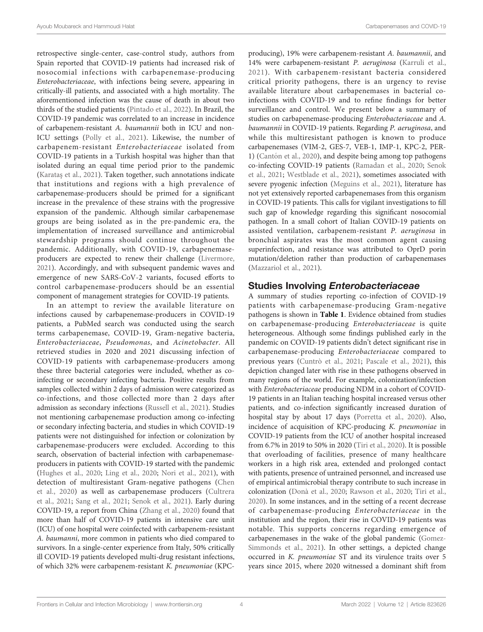retrospective single-center, case-control study, authors from Spain reported that COVID-19 patients had increased risk of nosocomial infections with carbapenemase-producing Enterobacteriaceae, with infections being severe, appearing in critically-ill patients, and associated with a high mortality. The aforementioned infection was the cause of death in about two thirds of the studied patients ([Pintado et al., 2022](#page-10-0)). In Brazil, the COVID-19 pandemic was correlated to an increase in incidence of carbapenem-resistant A. baumannii both in ICU and non-ICU settings [\(Polly et al., 2021](#page-10-0)). Likewise, the number of carbapenem-resistant Enterobacteriaceae isolated from COVID-19 patients in a Turkish hospital was higher than that isolated during an equal time period prior to the pandemic (Karataş [et al., 2021\)](#page-9-0). Taken together, such annotations indicate that institutions and regions with a high prevalence of carbapenemase-producers should be primed for a significant increase in the prevalence of these strains with the progressive expansion of the pandemic. Although similar carbapenemase groups are being isolated as in the pre-pandemic era, the implementation of increased surveillance and antimicrobial stewardship programs should continue throughout the pandemic. Additionally, with COVID-19, carbapenemaseproducers are expected to renew their challenge ([Livermore,](#page-9-0) [2021\)](#page-9-0). Accordingly, and with subsequent pandemic waves and emergence of new SARS-CoV-2 variants, focused efforts to control carbapenemase-producers should be an essential component of management strategies for COVID-19 patients.

In an attempt to review the available literature on infections caused by carbapenemase-producers in COVID-19 patients, a PubMed search was conducted using the search terms carbapenemase, COVID-19, Gram-negative bacteria, Enterobacteriaceae, Pseudomonas, and Acinetobacter. All retrieved studies in 2020 and 2021 discussing infection of COVID-19 patients with carbapenemase-producers among these three bacterial categories were included, whether as coinfecting or secondary infecting bacteria. Positive results from samples collected within 2 days of admission were categorized as co-infections, and those collected more than 2 days after admission as secondary infections [\(Russell et al., 2021\)](#page-10-0). Studies not mentioning carbapenemase production among co-infecting or secondary infecting bacteria, and studies in which COVID-19 patients were not distinguished for infection or colonization by carbapenemase-producers were excluded. According to this search, observation of bacterial infection with carbapenemaseproducers in patients with COVID-19 started with the pandemic ([Hughes et al., 2020](#page-9-0); [Ling et al., 2020](#page-9-0); [Nori et al., 2021](#page-10-0)), with detection of multiresistant Gram-negative pathogens [\(Chen](#page-8-0) [et al., 2020\)](#page-8-0) as well as carbapenemase producers ([Cultrera](#page-8-0) [et al., 2021;](#page-8-0) [Sang et al., 2021](#page-10-0); [Senok et al., 2021\)](#page-10-0). Early during COVID-19, a report from China [\(Zhang et al., 2020](#page-11-0)) found that more than half of COVID-19 patients in intensive care unit (ICU) of one hospital were coinfected with carbapenem-resistant A. baumanni, more common in patients who died compared to survivors. In a single-center experience from Italy, 50% critically ill COVID-19 patients developed multi-drug resistant infections, of which 32% were carbapenem-resistant K. pneumoniae (KPC-

producing), 19% were carbapenem-resistant A. baumannii, and 14% were carbapenem-resistant P. aeruginosa [\(Karruli et al.,](#page-9-0) [2021\)](#page-9-0). With carbapenem-resistant bacteria considered critical priority pathogens, there is an urgency to revise available literature about carbapenemases in bacterial coinfections with COVID-19 and to refine findings for better surveillance and control. We present below a summary of studies on carbapenemase-producing Enterobacteriaceae and A. baumannii in COVID-19 patients. Regarding P. aeruginosa, and while this multiresistant pathogen is known to produce carbapenemases (VIM-2, GES-7, VEB-1, IMP-1, KPC-2, PER1) (Cantó[n et al., 2020](#page-8-0)), and despite being among top pathogens co-infecting COVID-19 patients [\(Ramadan et al., 2020](#page-10-0); [Senok](#page-10-0) [et al., 2021](#page-10-0); [Westblade et al., 2021](#page-10-0)), sometimes associated with severe pyogenic infection ([Meguins et al., 2021](#page-9-0)), literature has not yet extensively reported carbapenemases from this organism in COVID-19 patients. This calls for vigilant investigations to fill such gap of knowledge regarding this significant nosocomial pathogen. In a small cohort of Italian COVID-19 patients on assisted ventilation, carbapenem-resistant P. aeruginosa in bronchial aspirates was the most common agent causing superinfection, and resistance was attributed to OprD porin mutation/deletion rather than production of carbapenemases [\(Mazzariol et al., 2021](#page-9-0)).

## Studies Involving Enterobacteriaceae

A summary of studies reporting co-infection of COVID-19 patients with carbapenemase-producing Gram-negative pathogens is shown in [Table 1](#page-5-0). Evidence obtained from studies on carbapenemase-producing Enterobacteriaceae is quite heterogeneous. Although some findings published early in the pandemic on COVID-19 patients didn't detect significant rise in carbapenemase-producing Enterobacteriaceae compared to previous years [\(Cuntrò et al., 2021;](#page-8-0) [Pascale et al., 2021\)](#page-10-0), this depiction changed later with rise in these pathogens observed in many regions of the world. For example, colonization/infection with Enterobacteriaceae producing NDM in a cohort of COVID-19 patients in an Italian teaching hospital increased versus other patients, and co-infection significantly increased duration of hospital stay by about 17 days ([Porretta et al., 2020\)](#page-10-0). Also, incidence of acquisition of KPC-producing K. pneumoniae in COVID-19 patients from the ICU of another hospital increased from 6.7% in 2019 to 50% in 2020 [\(Tiri et al., 2020\)](#page-10-0). It is possible that overloading of facilities, presence of many healthcare workers in a high risk area, extended and prolonged contact with patients, presence of untrained personnel, and increased use of empirical antimicrobial therapy contribute to such increase in colonization [\(Donà et al., 2020;](#page-9-0) [Rawson et al., 2020](#page-10-0); [Tiri et al.,](#page-10-0) [2020](#page-10-0)). In some instances, and in the setting of a recent decrease of carbapenemase-producing Enterobacteriaceae in the institution and the region, their rise in COVID-19 patients was notable. This supports concerns regarding emergence of carbapenemases in the wake of the global pandemic [\(Gomez-](#page-9-0)[Simmonds et al., 2021\)](#page-9-0). In other settings, a depicted change occurred in K. pneumoniae ST and its virulence traits over 5 years since 2015, where 2020 witnessed a dominant shift from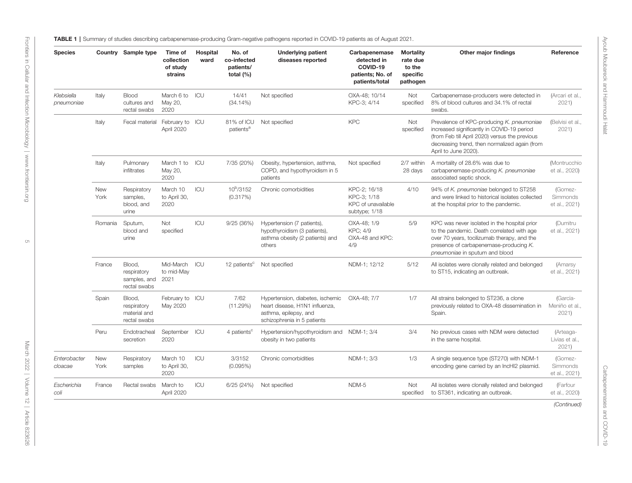TABLE 1 | Summary of studies describing carbapenemase-producing Gram-negative pathogens reported in COVID-19 patients as of August 2021.

| <b>Species</b>           |                    | Country Sample type                                   | Time of<br>collection<br>of study<br>strains | Hospital<br>ward | No. of<br>co-infected<br>patients/<br>total $(\%)$ | <b>Underlying patient</b><br>diseases reported                                                                             | Carbapenemase<br>detected in<br>COVID-19<br>patients; No. of<br>patients/total | <b>Mortality</b><br>rate due<br>to the<br>specific<br>pathogen | Other major findings                                                                                                                                                                                                  | Reference                                |
|--------------------------|--------------------|-------------------------------------------------------|----------------------------------------------|------------------|----------------------------------------------------|----------------------------------------------------------------------------------------------------------------------------|--------------------------------------------------------------------------------|----------------------------------------------------------------|-----------------------------------------------------------------------------------------------------------------------------------------------------------------------------------------------------------------------|------------------------------------------|
| Klebsiella<br>pneumoniae | Italy              | Blood<br>cultures and<br>rectal swabs                 | March 6 to ICU<br>May 20,<br>2020            |                  | 14/41<br>$(34.14\%)$                               | Not specified                                                                                                              | OXA-48; 10/14<br>KPC-3; 4/14                                                   | Not<br>specified                                               | Carbapenemase-producers were detected in<br>8% of blood cultures and 34.1% of rectal<br>swabs.                                                                                                                        | (Arcari et al.,<br>2021                  |
|                          | Italy              | Fecal material                                        | February to ICU<br>April 2020                |                  | 81% of ICU<br>patients <sup>a</sup>                | Not specified                                                                                                              | <b>KPC</b>                                                                     | Not<br>specified                                               | Prevalence of KPC-producing K. pneumoniae<br>increased significantly in COVID-19 period<br>(from Feb till April 2020) versus the previous<br>decreasing trend, then normalized again (from<br>April to June 2020).    | (Belvisi et al.,<br>2021)                |
|                          | Italy              | Pulmonary<br>infiltrates                              | March 1 to<br>May 20,<br>2020                | ICU              | 7/35 (20%)                                         | Obesity, hypertension, asthma,<br>COPD, and hypothyroidism in 5<br>patients                                                | Not specified                                                                  | 2/7 within<br>28 days                                          | A mortality of 28.6% was due to<br>carbapenemase-producing K. pneumoniae<br>associated septic shock.                                                                                                                  | (Montrucchio<br>et al., 2020)            |
|                          | <b>New</b><br>York | Respiratory<br>samples,<br>blood, and<br>urine        | March 10<br>to April 30,<br>2020             | ICU              | 10 <sup>b</sup> /3152<br>(0.317%)                  | Chronic comorbidities                                                                                                      | KPC-2; 16/18<br>KPC-3; 1/18<br>KPC of unavailable<br>subtype; 1/18             | 4/10                                                           | 94% of K. pneumoniae belonged to ST258<br>and were linked to historical isolates collected<br>at the hospital prior to the pandemic.                                                                                  | (Gomez-<br>Simmonds<br>et al., 2021)     |
|                          | Romania            | Sputum,<br>blood and<br>urine                         | Not<br>specified                             | ICU              | 9/25(36%)                                          | Hypertension (7 patients),<br>hypothyroidism (3 patients),<br>asthma obesity (2 patients) and<br>others                    | OXA-48: 1/9<br><b>KPC: 4/9</b><br>OXA-48 and KPC:<br>4/9                       | 5/9                                                            | KPC was never isolated in the hospital prior<br>to the pandemic. Death correlated with age<br>over 70 years, tocilizumab therapy, and the<br>presence of carbapenemase-producing K.<br>pneumoniae in sputum and blood | (Dumitru<br>et al., 2021)                |
|                          | France             | Blood,<br>respiratory<br>samples, and<br>rectal swabs | Mid-March ICU<br>to mid-May<br>2021          |                  | 12 patients <sup>c</sup>                           | Not specified                                                                                                              | NDM-1; 12/12                                                                   | 5/12                                                           | All isolates were clonally related and belonged<br>to ST15, indicating an outbreak.                                                                                                                                   | (Amarsy<br>et al., 2021)                 |
|                          | Spain              | Blood,<br>respiratory<br>material and<br>rectal swabs | February to ICU<br>May 2020                  |                  | 7/62<br>(11.29%)                                   | Hypertension, diabetes, ischemic<br>heart disease, H1N1 influenza,<br>asthma, epilepsy, and<br>schizophrenia in 5 patients | OXA-48; 7/7                                                                    | 1/7                                                            | All strains belonged to ST236, a clone<br>previously related to OXA-48 dissemination in<br>Spain.                                                                                                                     | (García-<br>Meniño et al.,<br>2021       |
|                          | Peru               | Endotracheal<br>secretion                             | September ICU<br>2020                        |                  | 4 patients <sup>c</sup>                            | Hypertension/hypothyroidism and NDM-1; 3/4<br>obesity in two patients                                                      |                                                                                | 3/4                                                            | No previous cases with NDM were detected<br>in the same hospital.                                                                                                                                                     | (Arteaga-<br>Livias et al.,<br>2021      |
| Enterobacter<br>cloacae  | <b>New</b><br>York | Respiratory<br>samples                                | March 10<br>to April 30,<br>2020             | ICU              | 3/3152<br>(0.095%)                                 | Chronic comorbidities                                                                                                      | NDM-1; 3/3                                                                     | 1/3                                                            | A single sequence type (ST270) with NDM-1<br>encoding gene carried by an IncHI2 plasmid.                                                                                                                              | (Gomez-<br>Simmonds<br>et al., 2021)     |
| Escherichia<br>coli      | France             | Rectal swabs                                          | March to<br>April 2020                       | ICU              | 6/25(24%)                                          | Not specified                                                                                                              | NDM-5                                                                          | Not<br>specified                                               | All isolates were clonally related and belonged<br>to ST361, indicating an outbreak.                                                                                                                                  | (Farfour<br>et al., 2020)<br>(Continued) |

<span id="page-5-0"></span>Frontiers in Cellular and Infection Microbiology | www.frontiersin.org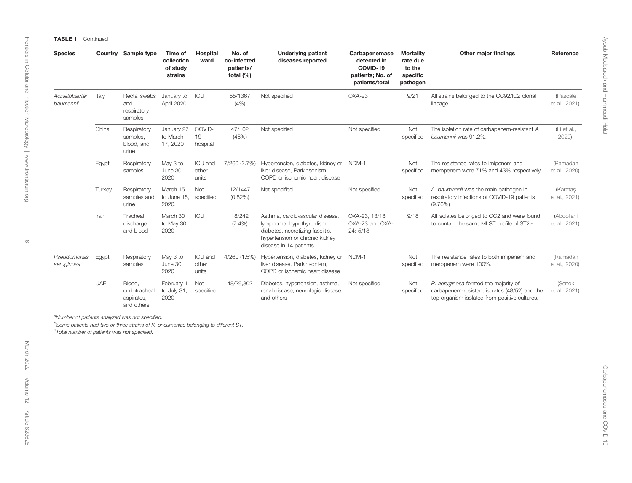TABLE 1 | Continued

| <b>Species</b>             |            | Country Sample type                                | Time of<br>collection<br>of study<br>strains | Hospital<br>ward          | No. of<br>co-infected<br>patients/<br>total (%) | <b>Underlying patient</b><br>diseases reported                                                                                                               | Carbapenemase<br>detected in<br>COVID-19<br>patients; No. of<br>patients/total | <b>Mortality</b><br>rate due<br>to the<br>specific<br>pathogen | Other major findings                                                                                                                   | Reference                       |
|----------------------------|------------|----------------------------------------------------|----------------------------------------------|---------------------------|-------------------------------------------------|--------------------------------------------------------------------------------------------------------------------------------------------------------------|--------------------------------------------------------------------------------|----------------------------------------------------------------|----------------------------------------------------------------------------------------------------------------------------------------|---------------------------------|
| Acinetobacter<br>baumannii | Italy      | Rectal swabs<br>and<br>respiratory<br>samples      | January to<br>April 2020                     | ICU                       | 55/1367<br>(4% )                                | Not specified                                                                                                                                                | $OXA-23$                                                                       | 9/21                                                           | All strains belonged to the CC92/IC2 clonal<br>lineage.                                                                                | (Pascale<br>et al., 2021)       |
|                            | China      | Respiratory<br>samples,<br>blood, and<br>urine     | January 27<br>to March<br>17, 2020           | COVID-<br>19<br>hospital  | 47/102<br>(46%)                                 | Not specified                                                                                                                                                | Not specified                                                                  | Not<br>specified                                               | The isolation rate of carbapenem-resistant A.<br>baumannii was 91.2%.                                                                  | (L <sub>i</sub> et al.,<br>2020 |
|                            | Egypt      | Respiratory<br>samples                             | May 3 to<br>June 30,<br>2020                 | ICU and<br>other<br>units | 7/260 (2.7%)                                    | Hypertension, diabetes, kidney or<br>liver disease, Parkinsonism,<br>COPD or ischemic heart disease                                                          | NDM-1                                                                          | Not<br>specified                                               | The resistance rates to imipenem and<br>meropenem were 71% and 43% respectively                                                        | (Ramadan<br>et al., 2020)       |
|                            | Turkey     | Respiratory<br>samples and<br>urine                | March 15<br>to June 15,<br>2020,             | Not<br>specified          | 12/1447<br>$(0.82\%)$                           | Not specified                                                                                                                                                | Not specified                                                                  | Not<br>specified                                               | A. baumannii was the main pathogen in<br>respiratory infections of COVID-19 patients<br>$(9.76\%)$                                     | (Karatas<br>et al., 2021)       |
|                            | Iran       | Tracheal<br>discharge<br>and blood                 | March 30<br>to May 30,<br>2020               | <b>ICU</b>                | 18/242<br>$(7.4\%)$                             | Asthma, cardiovascular disease.<br>lymphoma, hypothyroidism,<br>diabetes, necrotizing fasciitis,<br>hypertension or chronic kidney<br>disease in 14 patients | OXA-23, 13/18<br>OXA-23 and OXA-<br>24; 5/18                                   | 9/18                                                           | All isolates belonged to GC2 and were found<br>to contain the same MLST profile of ST2 <sub>iP</sub> .                                 | (Abdollahi<br>et al., 2021)     |
| Pseudomonas<br>aeruginosa  | Egypt      | Respiratory<br>samples                             | May 3 to<br>June 30,<br>2020                 | ICU and<br>other<br>units | 4/260 (1.5%)                                    | Hypertension, diabetes, kidney or<br>liver disease, Parkinsonism,<br>COPD or ischemic heart disease                                                          | NDM-1                                                                          | Not<br>specified                                               | The resistance rates to both imipenem and<br>meropenem were 100%.                                                                      | (Ramadan<br>et al., 2020)       |
|                            | <b>UAE</b> | Blood,<br>endotracheal<br>aspirates,<br>and others | February 1<br>to July 31,<br>2020            | Not<br>specified          | 48/29,802                                       | Diabetes, hypertension, asthma,<br>renal disease, neurologic disease,<br>and others                                                                          | Not specified                                                                  | Not<br>specified                                               | P. aeruginosa formed the majority of<br>carbapenem-resistant isolates (48/52) and the<br>top organism isolated from positive cultures. | (Senok<br>et al., 2021)         |

[Frontiers in Cellular and Infection Microbiology](https://www.frontiersin.org/journals/cellular-and-infection-microbiology) | [www.frontiersin.org](http://www.frontiersin.org/) [March 2022 | Volume 12 | Article 823626](https://www.frontiersin.org/journals/cellular-and-infection-microbiology#articles) 6 $\circ$ 

Frontiers in Cellular and Infection Microbiology | www.frontiersin.org

March 2022 | Volume 12 | Article 823626

<sup>a</sup>Number of patients analyzed was not specified.

come parallel patients was not specified.

bSome patients had two or three strains of K. pneumoniae belonging to different ST.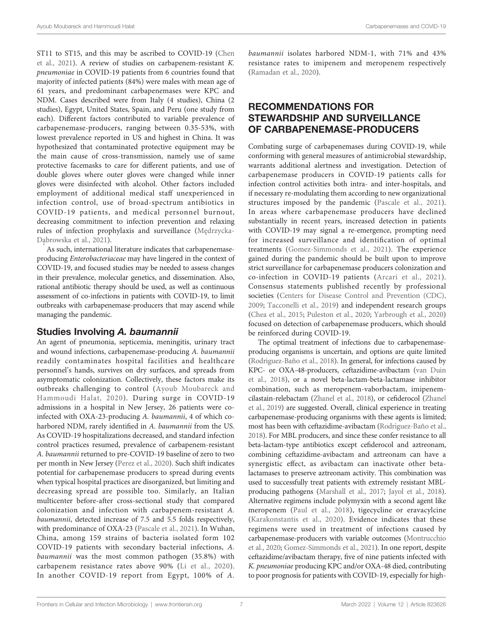ST11 to ST15, and this may be ascribed to COVID-19 ([Chen](#page-8-0) [et al., 2021\)](#page-8-0). A review of studies on carbapenem-resistant K. pneumoniae in COVID-19 patients from 6 countries found that majority of infected patients (84%) were males with mean age of 61 years, and predominant carbapenemases were KPC and NDM. Cases described were from Italy (4 studies), China (2 studies), Egypt, United States, Spain, and Peru (one study from each). Different factors contributed to variable prevalence of carbapenemase-producers, ranging between 0.35-53%, with lowest prevalence reported in US and highest in China. It was hypothesized that contaminated protective equipment may be the main cause of cross-transmission, namely use of same protective facemasks to care for different patients, and use of double gloves where outer gloves were changed while inner gloves were disinfected with alcohol. Other factors included employment of additional medical staff unexperienced in infection control, use of broad-spectrum antibiotics in COVID-19 patients, and medical personnel burnout, decreasing commitment to infection prevention and relaxing rules of infection prophylaxis and surveillance (Mę[drzycka-](#page-9-0)[Dabrowska et al., 2021](#page-9-0)).

As such, international literature indicates that carbapenemaseproducing Enterobacteriaceae may have lingered in the context of COVID-19, and focused studies may be needed to assess changes in their prevalence, molecular genetics, and dissemination. Also, rational antibiotic therapy should be used, as well as continuous assessment of co-infections in patients with COVID-19, to limit outbreaks with carbapenemase-producers that may ascend while managing the pandemic.

# Studies Involving A. baumannii

An agent of pneumonia, septicemia, meningitis, urinary tract and wound infections, carbapenemase-producing A. baumannii readily contaminates hospital facilities and healthcare personnel's hands, survives on dry surfaces, and spreads from asymptomatic colonization. Collectively, these factors make its outbreaks challenging to control ([Ayoub Moubareck and](#page-8-0) [Hammoudi Halat, 2020\)](#page-8-0). During surge in COVID-19 admissions in a hospital in New Jersey, 26 patients were coinfected with OXA-23-producing A. baumannii, 4 of which coharbored NDM, rarely identified in A. baumannii from the US. As COVID-19 hospitalizations decreased, and standard infection control practices resumed, prevalence of carbapenem-resistant A. baumannii returned to pre-COVID-19 baseline of zero to two per month in New Jersey [\(Perez et al., 2020](#page-10-0)). Such shift indicates potential for carbapenemase producers to spread during events when typical hospital practices are disorganized, but limiting and decreasing spread are possible too. Similarly, an Italian multicenter before-after cross-sectional study that compared colonization and infection with carbapenem-resistant A. baumannii, detected increase of 7.5 and 5.5 folds respectively, with predominance of OXA-23 ([Pascale et al., 2021](#page-10-0)). In Wuhan, China, among 159 strains of bacteria isolated form 102 COVID-19 patients with secondary bacterial infections, A. baumannii was the most common pathogen (35.8%) with carbapenem resistance rates above 90% ([Li et al., 2020\)](#page-9-0). In another COVID-19 report from Egypt, 100% of A.

baumannii isolates harbored NDM-1, with 71% and 43% resistance rates to imipenem and meropenem respectively [\(Ramadan et al., 2020\)](#page-10-0).

# RECOMMENDATIONS FOR STEWARDSHIP AND SURVEILLANCE OF CARBAPENEMASE-PRODUCERS

Combating surge of carbapenemases during COVID-19, while conforming with general measures of antimicrobial stewardship, warrants additional alertness and investigation. Detection of carbapenemase producers in COVID-19 patients calls for infection control activities both intra- and inter-hospitals, and if necessary re-modulating them according to new organizational structures imposed by the pandemic ([Pascale et al., 2021](#page-10-0)). In areas where carbapenemase producers have declined substantially in recent years, increased detection in patients with COVID-19 may signal a re-emergence, prompting need for increased surveillance and identification of optimal treatments ([Gomez-Simmonds et al., 2021\)](#page-9-0). The experience gained during the pandemic should be built upon to improve strict surveillance for carbapenemase producers colonization and co-infection in COVID-19 patients ([Arcari et al., 2021](#page-8-0)). Consensus statements published recently by professional societies ([Centers for Disease Control and Prevention \(CDC\),](#page-8-0) [2009](#page-8-0); [Tacconelli et al., 2019](#page-10-0)) and independent research groups [\(Chea et al., 2015](#page-8-0); [Puleston et al., 2020](#page-10-0); [Yarbrough et al., 2020\)](#page-11-0) focused on detection of carbapenemase producers, which should be reinforced during COVID-19.

The optimal treatment of infections due to carbapenemaseproducing organisms is uncertain, and options are quite limited (Rodrí[guez-Baño et al., 2018](#page-10-0)). In general, for infections caused by KPC- or OXA-48-producers, ceftazidime-avibactam ([van Duin](#page-10-0) [et al., 2018](#page-10-0)), or a novel beta-lactam-beta-lactamase inhibitor combination, such as meropenem-vaborbactam, imipenemcilastain-relebactam ([Zhanel et al., 2018](#page-11-0)), or cefiderocol [\(Zhanel](#page-11-0) [et al., 2019\)](#page-11-0) are suggested. Overall, clinical experience in treating carbapenemase-producing organisms with these agents is limited; most has been with ceftazidime-avibactam (Rodrí[guez-Baño et al.,](#page-10-0) [2018\)](#page-10-0). For MBL producers, and since these confer resistance to all beta-lactam-type antibiotics except cefiderocol and aztreonam, combining ceftazidime-avibactam and aztreonam can have a synergistic effect, as avibactam can inactivate other betalactamases to preserve aztreonam activity. This combination was used to successfully treat patients with extremely resistant MBLproducing pathogens [\(Marshall et al., 2017](#page-9-0); [Jayol et al., 2018\)](#page-9-0). Alternative regimens include polymyxin with a second agent like meropenem ([Paul et al., 2018](#page-10-0)), tigecycline or eravacylcine [\(Karakonstantis et al., 2020\)](#page-9-0). Evidence indicates that these regimens were used in treatment of infections caused by carbapenemase-producers with variable outcomes [\(Montrucchio](#page-9-0) [et al., 2020;](#page-9-0) [Gomez-Simmonds et al., 2021](#page-9-0)). In one report, despite ceftazidime/avibactam therapy, five of nine patients infected with K. pneumoniae producing KPC and/or OXA-48 died, contributing to poor prognosis for patients with COVID-19, especially for high-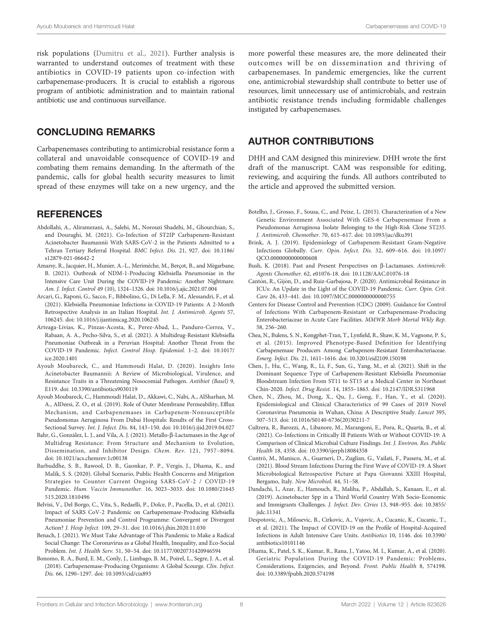<span id="page-8-0"></span>risk populations [\(Dumitru et al., 2021\)](#page-9-0). Further analysis is warranted to understand outcomes of treatment with these antibiotics in COVID-19 patients upon co-infection with carbapenemase-producers. It is crucial to establish a rigorous program of antibiotic administration and to maintain rational antibiotic use and continuous surveillance.

## CONCLUDING REMARKS

Carbapenemases contributing to antimicrobial resistance form a collateral and unavoidable consequence of COVID-19 and combating them remains demanding. In the aftermath of the pandemic, calls for global health security measures to limit spread of these enzymes will take on a new urgency, and the

## **REFERENCES**

- Abdollahi, A., Aliramezani, A., Salehi, M., Norouzi Shadehi, M., Ghourchian, S., and Douraghi, M. (2021). Co-Infection of ST2IP Carbapenem-Resistant Acinetobacter Baumannii With SARS-CoV-2 in the Patients Admitted to a Tehran Tertiary Referral Hospital. BMC Infect. Dis. 21, 927. doi: [10.1186/](https://doi.org/10.1186/s12879-021-06642-2) [s12879-021-06642-2](https://doi.org/10.1186/s12879-021-06642-2)
- Amarsy, R., Jacquier, H., Munier, A.-L., Merimèche, M., Berçot, B., and Mégarbane, B. (2021). Outbreak of NDM-1-Producing Klebsiella Pneumoniae in the Intensive Care Unit During the COVID-19 Pandemic: Another Nightmare. Am. J. Infect. Control 49 (10), 1324–1326. doi: [10.1016/j.ajic.2021.07.004](https://doi.org/10.1016/j.ajic.2021.07.004)
- Arcari, G., Raponi, G., Sacco, F., Bibbolino, G., Di Lella, F. M., Alessandri, F., et al. (2021). Klebsiella Pneumoniae Infections in COVID-19 Patients: A 2-Month Retrospective Analysis in an Italian Hospital. Int. J. Antimicrob. Agents 57, 106245. doi: [10.1016/j.ijantimicag.2020.106245](https://doi.org/10.1016/j.ijantimicag.2020.106245)
- Arteaga-Livias, K., Pinzas-Acosta, K., Perez-Abad, L., Panduro-Correa, V., Rabaan, A. A., Pecho-Silva, S., et al. (2021). A Multidrug-Resistant Klebsiella Pneumoniae Outbreak in a Peruvian Hospital: Another Threat From the COVID-19 Pandemic. Infect. Control Hosp. Epidemiol. 1–2. doi: [10.1017/](https://doi.org/10.1017/ice.2020.1401) [ice.2020.1401](https://doi.org/10.1017/ice.2020.1401)
- Ayoub Moubareck, C., and Hammoudi Halat, D. (2020). Insights Into Acinetobacter Baumannii: A Review of Microbiological, Virulence, and Resistance Traits in a Threatening Nosocomial Pathogen. Antibiot (Basel) 9, E119. doi: [10.3390/antibiotics9030119](https://doi.org/10.3390/antibiotics9030119)
- Ayoub Moubareck, C., Hammoudi Halat, D., Akkawi, C., Nabi, A., AlSharhan, M. A., AlDeesi, Z. O., et al. (2019). Role of Outer Membrane Permeability, Efflux Mechanism, and Carbapenemases in Carbapenem-Nonsusceptible Pseudomonas Aeruginosa From Dubai Hospitals: Results of the First Cross-Sectional Survey. Int. J. Infect. Dis. 84, 143–150. doi: [10.1016/j.ijid.2019.04.027](https://doi.org/10.1016/j.ijid.2019.04.027)
- Bahr, G., González, L. J., and Vila, A. J. (2021). Metallo-β-Lactamases in the Age of Multidrug Resistance: From Structure and Mechanism to Evolution, Dissemination, and Inhibitor Design. Chem. Rev. 121, 7957–8094. doi: [10.1021/acs.chemrev.1c00138](https://doi.org/10.1021/acs.chemrev.1c00138)
- Barbuddhe, S. B., Rawool, D. B., Gaonkar, P. P., Vergis, J., Dhama, K., and Malik, S. S. (2020). Global Scenario, Public Health Concerns and Mitigation Strategies to Counter Current Ongoing SARS-CoV-2 / COVID-19 Pandemic. Hum. Vaccin Immunother. 16, 3023–3033. doi: [10.1080/21645](https://doi.org/10.1080/21645515.2020.1810496) [515.2020.1810496](https://doi.org/10.1080/21645515.2020.1810496)
- Belvisi, V., Del Borgo, C., Vita, S., Redaelli, P., Dolce, P., Pacella, D., et al. (2021). Impact of SARS CoV-2 Pandemic on Carbapenemase-Producing Klebsiella Pneumoniae Prevention and Control Programme: Convergent or Divergent Action? J. Hosp Infect. 109, 29–31. doi: [10.1016/j.jhin.2020.11.030](https://doi.org/10.1016/j.jhin.2020.11.030)
- Benach, J. (2021). We Must Take Advantage of This Pandemic to Make a Radical Social Change: The Coronavirus as a Global Health, Inequality, and Eco-Social Problem. Int. J. Health Serv. 51, 50–54. doi: [10.1177/0020731420946594](https://doi.org/10.1177/0020731420946594)
- Bonomo, R. A., Burd, E. M., Conly, J., Limbago, B. M., Poirel, L., Segre, J. A., et al. (2018). Carbapenemase-Producing Organisms: A Global Scourge. Clin. Infect. Dis. 66, 1290–1297. doi: [10.1093/cid/cix893](https://doi.org/10.1093/cid/cix893)

more powerful these measures are, the more delineated their outcomes will be on dissemination and thriving of carbapenemases. In pandemic emergencies, like the current one, antimicrobial stewardship shall contribute to better use of resources, limit unnecessary use of antimicrobials, and restrain antibiotic resistance trends including formidable challenges instigated by carbapenemases.

#### AUTHOR CONTRIBUTIONS

DHH and CAM designed this minireview. DHH wrote the first draft of the manuscript. CAM was responsible for editing, reviewing, and acquiring the funds. All authors contributed to the article and approved the submitted version.

- Botelho, J., Grosso, F., Sousa, C., and Peixe, L. (2015). Characterization of a New Genetic Environment Associated With GES-6 Carbapenemase From a Pseudomonas Aeruginosa Isolate Belonging to the High-Risk Clone ST235. J. Antimicrob. Chemother. 70, 615–617. doi: [10.1093/jac/dku391](https://doi.org/10.1093/jac/dku391)
- Brink, A. J. (2019). Epidemiology of Carbapenem-Resistant Gram-Negative Infections Globally. Curr. Opin. Infect. Dis. 32, 609–616. doi: [10.1097/](https://doi.org/10.1097/QCO.0000000000000608) [QCO.0000000000000608](https://doi.org/10.1097/QCO.0000000000000608)
- Bush, K. (2018). Past and Present Perspectives on β-Lactamases. Antimicrob. Agents Chemother. 62, e01076-18. doi: [10.1128/AAC.01076-18](https://doi.org/10.1128/AAC.01076-18)
- Cantón, R., Gijón, D., and Ruiz-Garbajosa, P. (2020). Antimicrobial Resistance in ICUs: An Update in the Light of the COVID-19 Pandemic. Curr. Opin. Crit. Care 26, 433–441. doi: [10.1097/MCC.0000000000000755](https://doi.org/10.1097/MCC.0000000000000755)
- Centers for Disease Control and Prevention (CDC) (2009). Guidance for Control of Infections With Carbapenem-Resistant or Carbapenemase-Producing Enterobacteriaceae in Acute Care Facilities. MMWR Morb Mortal Wkly Rep. 58, 256–260.
- Chea, N., Bulens, S. N., Kongphet-Tran, T., Lynfield, R., Shaw, K. M., Vagnone, P. S., et al. (2015). Improved Phenotype-Based Definition for Identifying Carbapenemase Producers Among Carbapenem-Resistant Enterobacteriaceae. Emerg. Infect. Dis. 21, 1611–1616. doi: [10.3201/eid2109.150198](https://doi.org/10.3201/eid2109.150198)
- Chen, J., Hu, C., Wang, R., Li, F., Sun, G., Yang, M., et al. (2021). Shift in the Dominant Sequence Type of Carbapenem-Resistant Klebsiella Pneumoniae Bloodstream Infection From ST11 to ST15 at a Medical Center in Northeast Chin-2020. Infect. Drug Resist. 14, 1855–1863. doi: [10.2147/IDR.S311968](https://doi.org/10.2147/IDR.S311968)
- Chen, N., Zhou, M., Dong, X., Qu, J., Gong, F., Han, Y., et al. (2020). Epidemiological and Clinical Characteristics of 99 Cases of 2019 Novel Coronavirus Pneumonia in Wuhan, China: A Descriptive Study. Lancet 395, 507–513. doi: [10.1016/S0140-6736\(20\)30211-7](https://doi.org/10.1016/S0140-6736(20)30211-7)
- Cultrera, R., Barozzi, A., Libanore, M., Marangoni, E., Pora, R., Quarta, B., et al. (2021). Co-Infections in Critically Ill Patients With or Without COVID-19: A Comparison of Clinical Microbial Culture Findings. Int. J. Environ. Res. Public Health 18, 4358. doi: [10.3390/ijerph18084358](https://doi.org/10.3390/ijerph18084358)
- Cuntrò, M., Manisco, A., Guarneri, D., Zuglian, G., Vailati, F., Passera, M., et al. (2021). Blood Stream Infections During the First Wave of COVID-19. A Short Microbiological Retrospective Picture at Papa Giovanni XXIII Hospital, Bergamo, Italy. New Microbiol. 44, 51–58.
- Dandachi, I., Azar, E., Hamouch, R., Maliha, P., Abdallah, S., Kanaan, E., et al. (2019). Acinetobacter Spp in a Third World Country With Socio-Economic and Immigrants Challenges. J. Infect. Dev. Ctries 13, 948–955. doi: [10.3855/](https://doi.org/10.3855/jidc.11341) [jidc.11341](https://doi.org/10.3855/jidc.11341)
- Despotovic, A., Milosevic, B., Cirkovic, A., Vujovic, A., Cucanic, K., Cucanic, T., et al. (2021). The Impact of COVID-19 on the Profile of Hospital-Acquired Infections in Adult Intensive Care Units. Antibiotics 10, 1146. doi: [10.3390/](https://doi.org/10.3390/antibiotics10101146) [antibiotics10101146](https://doi.org/10.3390/antibiotics10101146)
- Dhama, K., Patel, S. K., Kumar, R., Rana, J., Yatoo, M. I., Kumar, A., et al. (2020). Geriatric Population During the COVID-19 Pandemic: Problems, Considerations, Exigencies, and Beyond. Front. Public Health 8, 574198. doi: [10.3389/fpubh.2020.574198](https://doi.org/10.3389/fpubh.2020.574198)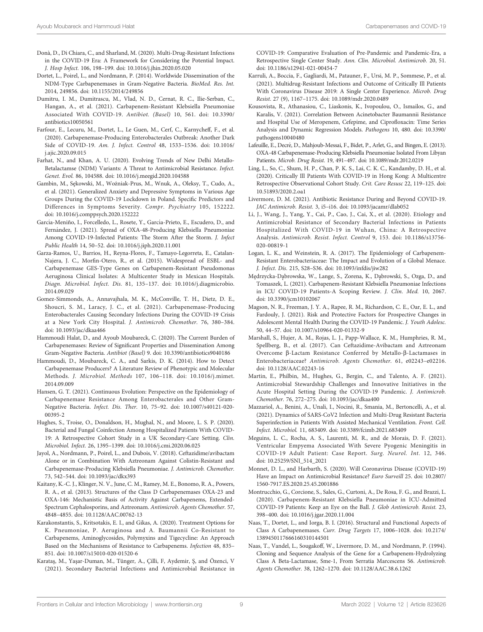- <span id="page-9-0"></span>Donà, D., Di Chiara, C., and Sharland, M. (2020). Multi-Drug-Resistant Infections in the COVID-19 Era: A Framework for Considering the Potential Impact. J. Hosp Infect. 106, 198–199. doi: [10.1016/j.jhin.2020.05.020](https://doi.org/10.1016/j.jhin.2020.05.020)
- Dortet, L., Poirel, L., and Nordmann, P. (2014). Worldwide Dissemination of the NDM-Type Carbapenemases in Gram-Negative Bacteria. BioMed. Res. Int. 2014, 249856. doi: [10.1155/2014/249856](https://doi.org/10.1155/2014/249856)
- Dumitru, I. M., Dumitrascu, M., Vlad, N. D., Cernat, R. C., Ilie-Serban, C., Hangan, A., et al. (2021). Carbapenem-Resistant Klebsiella Pneumoniae Associated With COVID-19. Antibiot. (Basel) 10, 561. doi: [10.3390/](https://doi.org/10.3390/antibiotics10050561) [antibiotics10050561](https://doi.org/10.3390/antibiotics10050561)
- Farfour, E., Lecuru, M., Dortet, L., Le Guen, M., Cerf, C., Karnycheff, F., et al. (2020). Carbapenemase-Producing Enterobacterales Outbreak: Another Dark Side of COVID-19. Am. J. Infect. Control 48, 1533–1536. doi: [10.1016/](https://doi.org/10.1016/j.ajic.2020.09.015) [j.ajic.2020.09.015](https://doi.org/10.1016/j.ajic.2020.09.015)
- Farhat, N., and Khan, A. U. (2020). Evolving Trends of New Delhi Metallo-Betalactamse (NDM) Variants: A Threat to Antimicrobial Resistance. Infect. Genet. Evol. 86, 104588. doi: [10.1016/j.meegid.2020.104588](https://doi.org/10.1016/j.meegid.2020.104588)
- Gambin, M., Sękowski, M., Woźniak-Prus, M., Wnuk, A., Oleksy, T., Cudo, A., et al. (2021). Generalized Anxiety and Depressive Symptoms in Various Age Groups During the COVID-19 Lockdown in Poland. Specific Predictors and Differences in Symptoms Severity. Compr. Psychiatry 105, 152222. doi: [10.1016/j.comppsych.2020.152222](https://doi.org/10.1016/j.comppsych.2020.152222)
- García-Meniño, I., Forcelledo, L., Rosete, Y., García-Prieto, E., Escudero, D., and Fernández, J. (2021). Spread of OXA-48-Producing Klebsiella Pneumoniae Among COVID-19-Infected Patients: The Storm After the Storm. J. Infect Public Health 14, 50–52. doi: [10.1016/j.jiph.2020.11.001](https://doi.org/10.1016/j.jiph.2020.11.001)
- Garza-Ramos, U., Barrios, H., Reyna-Flores, F., Tamayo-Legorreta, E., Catalan-Najera, J. C., Morfin-Otero, R., et al. (2015). Widespread of ESBL- and Carbapenemase GES-Type Genes on Carbapenem-Resistant Pseudomonas Aeruginosa Clinical Isolates: A Multicenter Study in Mexican Hospitals. Diagn. Microbiol. Infect. Dis. 81, 135–137. doi: [10.1016/j.diagmicrobio.](https://doi.org/10.1016/j.diagmicrobio.2014.09.029) [2014.09.029](https://doi.org/10.1016/j.diagmicrobio.2014.09.029)
- Gomez-Simmonds, A., Annavajhala, M. K., McConville, T. H., Dietz, D. E., Shoucri, S. M., Laracy, J. C., et al. (2021). Carbapenemase-Producing Enterobacterales Causing Secondary Infections During the COVID-19 Crisis at a New York City Hospital. J. Antimicrob. Chemother. 76, 380–384. doi: [10.1093/jac/dkaa466](https://doi.org/10.1093/jac/dkaa466)
- Hammoudi Halat, D., and Ayoub Moubareck, C. (2020). The Current Burden of Carbapenemases: Review of Significant Properties and Dissemination Among Gram-Negative Bacteria. Antibiot (Basel) 9. doi: [10.3390/antibiotics9040186](https://doi.org/10.3390/antibiotics9040186)
- Hammoudi, D., Moubareck, C. A., and Sarkis, D. K. (2014). How to Detect Carbapenemase Producers? A Literature Review of Phenotypic and Molecular Methods. J. Microbiol. Methods 107, 106–118. doi: [10.1016/j.mimet.](https://doi.org/10.1016/j.mimet.2014.09.009) [2014.09.009](https://doi.org/10.1016/j.mimet.2014.09.009)
- Hansen, G. T. (2021). Continuous Evolution: Perspective on the Epidemiology of Carbapenemase Resistance Among Enterobacterales and Other Gram-Negative Bacteria. Infect. Dis. Ther. 10, 75–92. doi: [10.1007/s40121-020-](https://doi.org/10.1007/s40121-020-00395-2) [00395-2](https://doi.org/10.1007/s40121-020-00395-2)
- Hughes, S., Troise, O., Donaldson, H., Mughal, N., and Moore, L. S. P. (2020). Bacterial and Fungal Coinfection Among Hospitalized Patients With COVID-19: A Retrospective Cohort Study in a UK Secondary-Care Setting. Clin. Microbiol. Infect. 26, 1395–1399. doi: [10.1016/j.cmi.2020.06.025](https://doi.org/10.1016/j.cmi.2020.06.025)
- Jayol, A., Nordmann, P., Poirel, L., and Dubois, V. (2018). Ceftazidime/avibactam Alone or in Combination With Aztreonam Against Colistin-Resistant and Carbapenemase-Producing Klebsiella Pneumoniae. J. Antimicrob. Chemother. 73, 542–544. doi: [10.1093/jac/dkx393](https://doi.org/10.1093/jac/dkx393)
- Kaitany, K.-C. J., Klinger, N. V., June, C. M., Ramey, M. E., Bonomo, R. A., Powers, R. A., et al. (2013). Structures of the Class D Carbapenemases OXA-23 and OXA-146: Mechanistic Basis of Activity Against Carbapenems, Extended-Spectrum Cephalosporins, and Aztreonam. Antimicrob. Agents Chemother. 57, 4848–4855. doi: [10.1128/AAC.00762-13](https://doi.org/10.1128/AAC.00762-13)
- Karakonstantis, S., Kritsotakis, E. I., and Gikas, A. (2020). Treatment Options for K. Pneumoniae, P. Aeruginosa and A. Baumannii Co-Resistant to Carbapenems, Aminoglycosides, Polymyxins and Tigecycline: An Approach Based on the Mechanisms of Resistance to Carbapenems. Infection 48, 835– 851. doi: [10.1007/s15010-020-01520-6](https://doi.org/10.1007/s15010-020-01520-6)
- Karataş, M., Yaşar-Duman, M., Tünger, A., Çilli, F, Aydemir, Ş, and Özenci, V (2021). Secondary Bacterial Infections and Antimicrobial Resistance in

COVID-19: Comparative Evaluation of Pre-Pandemic and Pandemic-Era, a Retrospective Single Center Study. Ann. Clin. Microbiol. Antimicrob. 20, 51. doi: [10.1186/s12941-021-00454-7](https://doi.org/10.1186/s12941-021-00454-7)

- Karruli, A., Boccia, F., Gagliardi, M., Patauner, F., Ursi, M. P., Sommese, P., et al. (2021). Multidrug-Resistant Infections and Outcome of Critically Ill Patients With Coronavirus Disease 2019: A Single Center Experience. Microb. Drug Resist. 27 (9), 1167–1175. doi: [10.1089/mdr.2020.0489](https://doi.org/10.1089/mdr.2020.0489)
- Kousovista, R., Athanasiou, C., Liaskonis, K., Ivopoulou, O., Ismailos, G., and Karalis, V. (2021). Correlation Between Acinetobacter Baumannii Resistance and Hospital Use of Meropenem, Cefepime, and Ciprofloxacin: Time Series Analysis and Dynamic Regression Models. Pathogens 10, 480. doi: [10.3390/](https://doi.org/10.3390/pathogens10040480) [pathogens10040480](https://doi.org/10.3390/pathogens10040480)
- Lafeuille, E., Decré, D., Mahjoub-Messai, F., Bidet, P., Arlet, G., and Bingen, E. (2013). OXA-48 Carbapenemase-Producing Klebsiella Pneumoniae Isolated From Libyan Patients. Microb. Drug Resist. 19, 491–497. doi: [10.1089/mdr.2012.0219](https://doi.org/10.1089/mdr.2012.0219)
- Ling, L., So, C., Shum, H. P., Chan, P. K. S., Lai, C. K. C., Kandamby, D. H., et al. (2020). Critically Ill Patients With COVID-19 in Hong Kong: A Multicentre Retrospective Observational Cohort Study. Crit. Care Resusc 22, 119–125. doi: [10.51893/2020.2.oa1](https://doi.org/10.51893/2020.2.oa1)
- Livermore, D. M. (2021). Antibiotic Resistance During and Beyond COVID-19. JAC Antimicrob. Resist. 3, i5–i16. doi: [10.1093/jacamr/dlab052](https://doi.org/10.1093/jacamr/dlab052)
- Li, J., Wang, J., Yang, Y., Cai, P., Cao, J., Cai, X., et al. (2020). Etiology and Antimicrobial Resistance of Secondary Bacterial Infections in Patients Hospitalized With COVID-19 in Wuhan, China: A Retrospective Analysis. Antimicrob. Resist. Infect. Control 9, 153. doi: [10.1186/s13756-](https://doi.org/10.1186/s13756-020-00819-1) [020-00819-1](https://doi.org/10.1186/s13756-020-00819-1)
- Logan, L. K., and Weinstein, R. A. (2017). The Epidemiology of Carbapenem-Resistant Enterobacteriaceae: The Impact and Evolution of a Global Menace. J. Infect. Dis. 215, S28–S36. doi: [10.1093/infdis/jiw282](https://doi.org/10.1093/infdis/jiw282)
- Mędrzycka-Dąbrowska, W., Lange, S., Zorena, K., Dąbrowski, S., Ozga, D., and Tomaszek, L. (2021). Carbapenem-Resistant Klebsiella Pneumoniae Infections in ICU COVID-19 Patients-A Scoping Review. J. Clin. Med. 10, 2067. doi: [10.3390/jcm10102067](https://doi.org/10.3390/jcm10102067)
- Magson, N. R., Freeman, J. Y. A., Rapee, R. M., Richardson, C. E., Oar, E. L., and Fardouly, J. (2021). Risk and Protective Factors for Prospective Changes in Adolescent Mental Health During the COVID-19 Pandemic. J. Youth Adolesc. 50, 44–57. doi: [10.1007/s10964-020-01332-9](https://doi.org/10.1007/s10964-020-01332-9)
- Marshall, S., Hujer, A. M., Rojas, L. J., Papp-Wallace, K. M., Humphries, R. M., Spellberg, B., et al. (2017). Can Ceftazidime-Avibactam and Aztreonam Overcome b-Lactam Resistance Conferred by Metallo-b-Lactamases in Enterobacteriaceae? Antimicrob. Agents Chemother. 61, e02243–e02216. doi: [10.1128/AAC.02243-16](https://doi.org/10.1128/AAC.02243-16)
- Martin, E., Philbin, M., Hughes, G., Bergin, C., and Talento, A. F. (2021). Antimicrobial Stewardship Challenges and Innovative Initiatives in the Acute Hospital Setting During the COVID-19 Pandemic. J. Antimicrob. Chemother. 76, 272–275. doi: [10.1093/jac/dkaa400](https://doi.org/10.1093/jac/dkaa400)
- Mazzariol, A., Benini, A., Unali, I., Nocini, R., Smania, M., Bertoncelli, A., et al. (2021). Dynamics of SARS-CoV2 Infection and Multi-Drug Resistant Bacteria Superinfection in Patients With Assisted Mechanical Ventilation. Front. Cell. Infect. Microbiol. 11, 683409. doi: [10.3389/fcimb.2021.683409](https://doi.org/10.3389/fcimb.2021.683409)
- Meguins, L. C., Rocha, A. S., Laurenti, M. R., and de Morais, D. F. (2021). Ventricular Empyema Associated With Severe Pyogenic Meningitis in COVID-19 Adult Patient: Case Report. Surg. Neurol. Int. 12, 346. doi: [10.25259/SNI\\_514\\_2021](https://doi.org/10.25259/SNI_514_2021)
- Monnet, D. L., and Harbarth, S. (2020). Will Coronavirus Disease (COVID-19) Have an Impact on Antimicrobial Resistance? Euro Surveill 25. doi: [10.2807/](https://doi.org/10.2807/1560-7917.ES.2020.25.45.2001886) [1560-7917.ES.2020.25.45.2001886](https://doi.org/10.2807/1560-7917.ES.2020.25.45.2001886)
- Montrucchio, G., Corcione, S., Sales, G., Curtoni, A., De Rosa, F. G., and Brazzi, L. (2020). Carbapenem-Resistant Klebsiella Pneumoniae in ICU-Admitted COVID-19 Patients: Keep an Eye on the Ball. J. Glob Antimicrob. Resist. 23, 398–400. doi: [10.1016/j.jgar.2020.11.004](https://doi.org/10.1016/j.jgar.2020.11.004)
- Naas, T., Dortet, L., and Iorga, B. I. (2016). Structural and Functional Aspects of Class A Carbapenemases. Curr. Drug Targets 17, 1006–1028. doi: [10.2174/](https://doi.org/10.2174/1389450117666160310144501) [1389450117666160310144501](https://doi.org/10.2174/1389450117666160310144501)
- Naas, T., Vandel, L., Sougakoff, W., Livermore, D. M., and Nordmann, P. (1994). Cloning and Sequence Analysis of the Gene for a Carbapenem-Hydrolyzing Class A Beta-Lactamase, Sme-1, From Serratia Marcescens S6. Antimicrob. Agents Chemother. 38, 1262–1270. doi: [10.1128/AAC.38.6.1262](https://doi.org/10.1128/AAC.38.6.1262)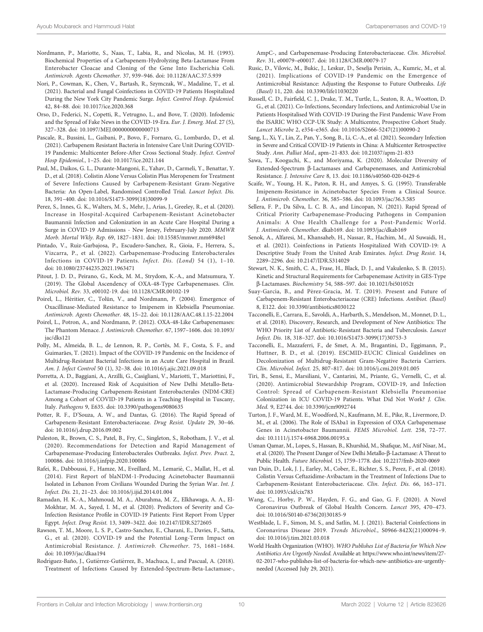- <span id="page-10-0"></span>Nordmann, P., Mariotte, S., Naas, T., Labia, R., and Nicolas, M. H. (1993). Biochemical Properties of a Carbapenem-Hydrolyzing Beta-Lactamase From Enterobacter Cloacae and Cloning of the Gene Into Escherichia Coli. Antimicrob. Agents Chemother. 37, 939–946. doi: [10.1128/AAC.37.5.939](https://doi.org/10.1128/AAC.37.5.939)
- Nori, P., Cowman, K., Chen, V., Bartash, R., Szymczak, W., Madaline, T., et al. (2021). Bacterial and Fungal Coinfections in COVID-19 Patients Hospitalized During the New York City Pandemic Surge. Infect. Control Hosp. Epidemiol. 42, 84–88. doi: [10.1017/ice.2020.368](https://doi.org/10.1017/ice.2020.368)
- Orso, D., Federici, N., Copetti, R., Vetrugno, L., and Bove, T. (2020). Infodemic and the Spread of Fake News in the COVID-19-Era. Eur. J. Emerg. Med. 27 (5), 327–328. doi: [10.1097/MEJ.0000000000000713](https://doi.org/10.1097/MEJ.0000000000000713)
- Pascale, R., Bussini, L., Gaibani, P., Bovo, F., Fornaro, G., Lombardo, D., et al. (2021). Carbapenem Resistant Bacteria in Intensive Care Unit During COVID-19 Pandemic: Multicenter Before-After Cross Sectional Study. Infect. Control Hosp Epidemiol., 1–25. doi: [10.1017/ice.2021.144](https://doi.org/10.1017/ice.2021.144)
- Paul, M., Daikos, G. L., Durante-Mangoni, E., Yahav, D., Carmeli, Y., Benattar, Y. D., et al. (2018). Colistin Alone Versus Colistin Plus Meropenem for Treatment of Severe Infections Caused by Carbapenem-Resistant Gram-Negative Bacteria: An Open-Label, Randomised Controlled Trial. Lancet Infect. Dis. 18, 391–400. doi: [10.1016/S1473-3099\(18\)30099-9](https://doi.org/10.1016/S1473-3099(18)30099-9)
- Perez, S., Innes, G. K., Walters, M. S., Mehr, J., Arias, J., Greeley, R., et al. (2020). Increase in Hospital-Acquired Carbapenem-Resistant Acinetobacter Baumannii Infection and Colonization in an Acute Care Hospital During a Surge in COVID-19 Admissions - New Jersey, February-July 2020. MMWR Morb. Mortal Wkly. Rep. 69, 1827–1831. doi: [10.15585/mmwr.mm6948e1](https://doi.org/10.15585/mmwr.mm6948e1)
- Pintado, V., Ruiz-Garbajosa, P., Escudero-Sanchez, R., Gioia, F., Herrera, S., Vizcarra, P., et al. (2022). Carbapenemase-Producing Enterobacterales Infections in COVID-19 Patients. Infect. Dis. (Lond) 54 (1), 1–10. doi: [10.1080/23744235.2021.1963471](https://doi.org/10.1080/23744235.2021.1963471)
- Pitout, J. D. D., Peirano, G., Kock, M. M., Strydom, K.-A., and Matsumura, Y. (2019). The Global Ascendency of OXA-48-Type Carbapenemases. Clin. Microbiol. Rev. 33, e00102-19. doi: [10.1128/CMR.00102-19](https://doi.org/10.1128/CMR.00102-19)
- Poirel, L., Héritier, C., Tolün, V., and Nordmann, P. (2004). Emergence of Oxacillinase-Mediated Resistance to Imipenem in Klebsiella Pneumoniae. Antimicrob. Agents Chemother. 48, 15–22. doi: [10.1128/AAC.48.1.15-22.2004](https://doi.org/10.1128/AAC.48.1.15-22.2004)
- Poirel, L., Potron, A., and Nordmann, P. (2012). OXA-48-Like Carbapenemases: The Phantom Menace. J. Antimicrob. Chemother. 67, 1597–1606. doi: [10.1093/](https://doi.org/10.1093/jac/dks121) [jac/dks121](https://doi.org/10.1093/jac/dks121)
- Polly, M., Almeida, B. L., de Lennon, R. P., Cortês, M. F., Costa, S. F., and Guimarães, T. (2021). Impact of the COVID-19 Pandemic on the Incidence of Multidrug-Resistant Bacterial Infections in an Acute Care Hospital in Brazil. Am. J. Infect Control 50 (1), 32–38. doi: [10.1016/j.ajic.2021.09.018](https://doi.org/10.1016/j.ajic.2021.09.018)
- Porretta, A. D., Baggiani, A., Arzilli, G., Casigliani, V., Mariotti, T., Mariottini, F., et al. (2020). Increased Risk of Acquisition of New Delhi Metallo-Beta-Lactamase-Producing Carbapenem-Resistant Enterobacterales (NDM-CRE) Among a Cohort of COVID-19 Patients in a Teaching Hospital in Tuscany, Italy. Pathogens 9, E635. doi: [10.3390/pathogens9080635](https://doi.org/10.3390/pathogens9080635)
- Potter, R. F., D'Souza, A. W., and Dantas, G. (2016). The Rapid Spread of Carbapenem-Resistant Enterobacteriaceae. Drug Resist. Update 29, 30–46. doi: [10.1016/j.drup.2016.09.002](https://doi.org/10.1016/j.drup.2016.09.002)
- Puleston, R., Brown, C. S., Patel, B., Fry, C., Singleton, S., Robotham, J. V., et al. (2020). Recommendations for Detection and Rapid Management of Carbapenemase-Producing Enterobacterales Outbreaks. Infect. Prev. Pract. 2, 100086. doi: [10.1016/j.infpip.2020.100086](https://doi.org/10.1016/j.infpip.2020.100086)
- Rafei, R., Dabboussi, F., Hamze, M., Eveillard, M., Lemarié, C., Mallat, H., et al. (2014). First Report of blaNDM-1-Producing Acinetobacter Baumannii Isolated in Lebanon From Civilians Wounded During the Syrian War. Int. J. Infect. Dis. 21, 21–23. doi: [10.1016/j.ijid.2014.01.004](https://doi.org/10.1016/j.ijid.2014.01.004)
- Ramadan, H. K.-A., Mahmoud, M. A., Aburahma, M. Z., Elkhawaga, A. A., El-Mokhtar, M. A., Sayed, I. M., et al. (2020). Predictors of Severity and Co-Infection Resistance Profile in COVID-19 Patients: First Report From Upper Egypt. Infect. Drug Resist. 13, 3409–3422. doi: [10.2147/IDR.S272605](https://doi.org/10.2147/IDR.S272605)
- Rawson, T. M., Moore, L. S. P., Castro-Sanchez, E., Charani, E., Davies, F., Satta, G., et al. (2020). COVID-19 and the Potential Long-Term Impact on Antimicrobial Resistance. J. Antimicrob. Chemother. 75, 1681–1684. doi: [10.1093/jac/dkaa194](https://doi.org/10.1093/jac/dkaa194)
- Rodríguez-Baño, J., Gutiérrez-Gutiérrez, B., Machuca, I., and Pascual, A. (2018). Treatment of Infections Caused by Extended-Spectrum-Beta-Lactamase-,

AmpC-, and Carbapenemase-Producing Enterobacteriaceae. Clin. Microbiol. Rev. 31, e00079–e00017. doi: [10.1128/CMR.00079-17](https://doi.org/10.1128/CMR.00079-17)

- Rusic, D., Vilovic, M., Bukic, J., Leskur, D., Seselja Perisin, A., Kumric, M., et al. (2021). Implications of COVID-19 Pandemic on the Emergence of Antimicrobial Resistance: Adjusting the Response to Future Outbreaks. Life (Basel) 11, 220. doi: [10.3390/life11030220](https://doi.org/10.3390/life11030220)
- Russell, C. D., Fairfield, C. J., Drake, T. M., Turtle, L., Seaton, R. A., Wootton, D. G., et al. (2021). Co-Infections, Secondary Infections, and Antimicrobial Use in Patients Hospitalised With COVID-19 During the First Pandemic Wave From the ISARIC WHO CCP-UK Study: A Multicentre, Prospective Cohort Study. Lancet Microbe 2, e354–e365. doi: [10.1016/S2666-5247\(21\)00090-2](https://doi.org/10.1016/S2666-5247(21)00090-2)
- Sang, L., Xi, Y., Lin, Z., Pan, Y., Song, B., Li, C.-A., et al. (2021). Secondary Infection in Severe and Critical COVID-19 Patients in China: A Multicenter Retrospective Study. Ann. Palliat Med., apm–21-833. doi: [10.21037/apm-21-833](https://doi.org/10.21037/apm-21-833)
- Sawa, T., Kooguchi, K., and Moriyama, K. (2020). Molecular Diversity of Extended-Spectrum  $\beta$ -Lactamases and Carbapenemases, and Antimicrobial Resistance. J. Intensive Care 8, 13. doi: [10.1186/s40560-020-0429-6](https://doi.org/10.1186/s40560-020-0429-6)
- Scaife, W., Young, H. K., Paton, R. H., and Amyes, S. G. (1995). Transferable Imipenem-Resistance in Acinetobacter Species From a Clinical Source. J. Antimicrob. Chemother. 36, 585–586. doi: [10.1093/jac/36.3.585](https://doi.org/10.1093/jac/36.3.585)
- Sellera, F. P., Da Silva, L. C. B. A., and Lincopan, N. (2021). Rapid Spread of Critical Priority Carbapenemase-Producing Pathogens in Companion Animals: A One Health Challenge for a Post-Pandemic World. J. Antimicrob. Chemother. dkab169. doi: [10.1093/jac/dkab169](https://doi.org/10.1093/jac/dkab169)
- Senok, A., Alfaresi, M., Khansaheb, H., Nassar, R., Hachim, M., Al Suwaidi, H., et al. (2021). Coinfections in Patients Hospitalized With COVID-19: A Descriptive Study From the United Arab Emirates. Infect. Drug Resist. 14, 2289–2296. doi: [10.2147/IDR.S314029](https://doi.org/10.2147/IDR.S314029)
- Stewart, N. K., Smith, C. A., Frase, H., Black, D. J., and Vakulenko, S. B. (2015). Kinetic and Structural Requirements for Carbapenemase Activity in GES-Type b-Lactamases. Biochemistry 54, 588–597. doi: [10.1021/bi501052t](https://doi.org/10.1021/bi501052t)
- Suay-García, B., and Pérez-Gracia, M. T. (2019). Present and Future of Carbapenem-Resistant Enterobacteriaceae (CRE) Infections. Antibiot. (Basel) 8, E122. doi: [10.3390/antibiotics8030122](https://doi.org/10.3390/antibiotics8030122)
- Tacconelli, E., Carrara, E., Savoldi, A., Harbarth, S., Mendelson, M., Monnet, D. L., et al. (2018). Discovery, Research, and Development of New Antibiotics: The WHO Priority List of Antibiotic-Resistant Bacteria and Tuberculosis. Lancet Infect. Dis. 18, 318–327. doi: [10.1016/S1473-3099\(17\)30753-3](https://doi.org/10.1016/S1473-3099(17)30753-3)
- Tacconelli, E., Mazzaferri, F., de Smet, A. M., Bragantini, D., Eggimann, P., Huttner, B. D., et al. (2019). ESCMID-EUCIC Clinical Guidelines on Decolonization of Multidrug-Resistant Gram-Negative Bacteria Carriers. Clin. Microbiol. Infect. 25, 807–817. doi: [10.1016/j.cmi.2019.01.005](https://doi.org/10.1016/j.cmi.2019.01.005)
- Tiri, B., Sensi, E., Marsiliani, V., Cantarini, M., Priante, G., Vernelli, C., et al. (2020). Antimicrobial Stewardship Program, COVID-19, and Infection Control: Spread of Carbapenem-Resistant Klebsiella Pneumoniae Colonization in ICU COVID-19 Patients. What Did Not Work? J. Clin. Med. 9, E2744. doi: [10.3390/jcm9092744](https://doi.org/10.3390/jcm9092744)
- Turton, J. F., Ward, M. E., Woodford, N., Kaufmann, M. E., Pike, R., Livermore, D. M., et al. (2006). The Role of ISAba1 in Expression of OXA Carbapenemase Genes in Acinetobacter Baumannii. FEMS Microbiol. Lett. 258, 72–77. doi: [10.1111/j.1574-6968.2006.00195.x](https://doi.org/10.1111/j.1574-6968.2006.00195.x)
- Usman Qamar, M., Lopes, S., Hassan, B., Khurshid, M., Shafique, M., Atif Nisar, M., et al. (2020). The Present Danger of New Delhi Metallo-β-Lactamase: A Threat to Public Health. Future Microbiol. 15, 1759–1778. doi: [10.2217/fmb-2020-0069](https://doi.org/10.2217/fmb-2020-0069)
- van Duin, D., Lok, J. J., Earley, M., Cober, E., Richter, S. S., Perez, F., et al. (2018). Colistin Versus Ceftazidime-Avibactam in the Treatment of Infections Due to Carbapenem-Resistant Enterobacteriaceae. Clin. Infect. Dis. 66, 163–171. doi: [10.1093/cid/cix783](https://doi.org/10.1093/cid/cix783)
- Wang, C., Horby, P. W., Hayden, F. G., and Gao, G. F. (2020). A Novel Coronavirus Outbreak of Global Health Concern. Lancet 395, 470–473. doi: [10.1016/S0140-6736\(20\)30185-9](https://doi.org/10.1016/S0140-6736(20)30185-9)
- Westblade, L. F., Simon, M. S., and Satlin, M. J. (2021). Bacterial Coinfections in Coronavirus Disease 2019. Trends Microbiol., S0966-842X(21)00094–9. doi: [10.1016/j.tim.2021.03.018](https://doi.org/10.1016/j.tim.2021.03.018)
- World Health Organization (WHO). WHO Publishes List of Bacteria for Which New Antibiotics Are Urgently Needed. Available at: [https://www.who.int/news/item/27-](https://www.who.int/news/item/27-02-2017-who-publishes-list-of-bacteria-for-which-new-antibiotics-are-urgently-needed) [02-2017-who-publishes-list-of-bacteria-for-which-new-antibiotics-are-urgently](https://www.who.int/news/item/27-02-2017-who-publishes-list-of-bacteria-for-which-new-antibiotics-are-urgently-needed)[needed](https://www.who.int/news/item/27-02-2017-who-publishes-list-of-bacteria-for-which-new-antibiotics-are-urgently-needed) (Accessed July 29, 2021).